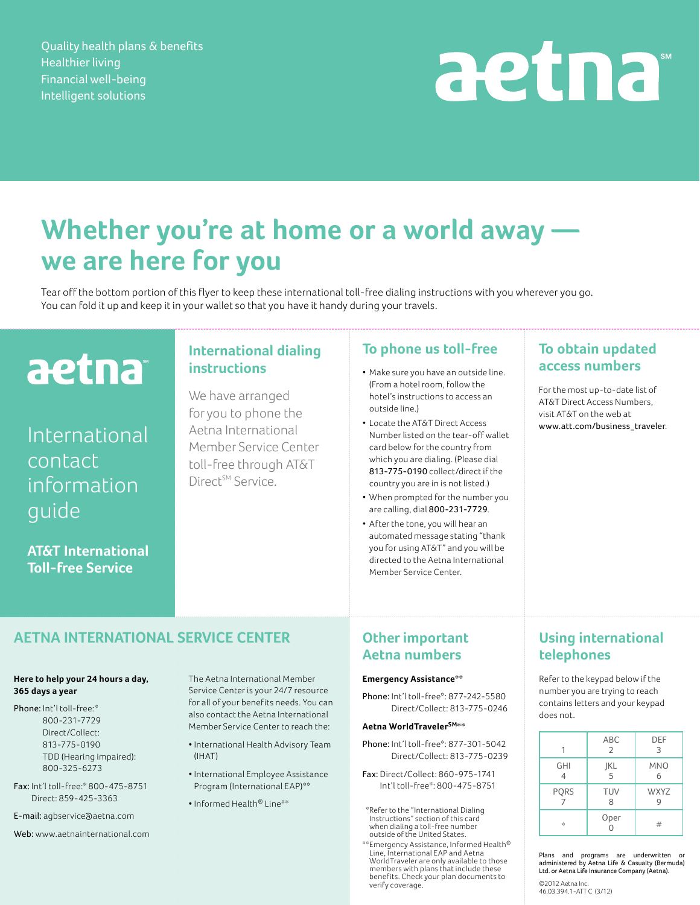Quality health plans & benefits Healthier living Financial well-being Intelligent solutions

# aetna

# **Whether you're at home or a world away we are here for you**

Tear off the bottom portion of this flyer to keep these international toll-free dialing instructions with you wherever you go. You can fold it up and keep it in your wallet so that you have it handy during your travels.

# aetna

# International contact information guide

**AT&T International Toll-free Service**

### **International dialing instructions**

We have arranged for you to phone the Aetna International Member Service Center toll-free through AT&T Direct<sup>SM</sup> Service.

#### **To phone us toll-free**

- Make sure you have an outside line. (From a hotel room, follow the hotel's instructions to access an outside line.)
- • Locate the AT&T Direct Access Number listed on the tear-off wallet card below for the country from which you are dialing. (Please dial 813-775-0190 collect/direct if the country you are in is not listed.)
- • When prompted for the number you are calling, dial 800-231-7729.
- • After the tone, you will hear an automated message stating "thank you for using AT&T" and you will be directed to the Aetna International Member Service Center.

### **To obtain updated access numbers**

For the most up-to-date list of AT&T Direct Access Numbers, visit AT&T on the web at www.att.com/business\_traveler.

# **Aetna International Service Center**

#### **Here to help your 24 hours a day, 365 days a year**

Phone: Int'l toll-free:\* 800-231-7729 Direct/Collect: 813-775-0190 TDD (Hearing impaired): 800-325-6273

Fax: Int'l toll-free:\* 800-475-8751 Direct: 859-425-3363

E-mail: agbservice@aetna.com

Web: www.aetnainternational.com

The Aetna International Member Service Center is your 24/7 resource for all of your benefits needs. You can also contact the Aetna International Member Service Center to reach the:

- International Health Advisory Team (IHAT)
- International Employee Assistance Program (International EAP)\*\*
- Informed Health® Line\*\*

## **Other important Aetna numbers**

#### **Emergency Assistance\*\***

Phone: Int'l toll-free\*: 877-242-5580 Direct/Collect: 813-775-0246

#### **Aetna WorldTravelerSM\*\***

Phone: Int'l toll-free\*: 877-301-5042 Direct/Collect: 813-775-0239

Fax: Direct/Collect: 860-975-1741 Int'l toll-free\*: 800-475-8751

\*Refer to the "International Dialing Instructions" section of this card when dialing a toll-free number outside of the United States.

\*\*Emergency Assistance, Informed Health® Line, International EAP and Aetna WorldTraveler are only available to those members with plans that include these benefits. Check your plan documents to verify coverage.

## **Using international telephones**

Refer to the keypad below if the number you are trying to reach contains letters and your keypad does not.

|                 | <b>ABC</b><br>2 | DEF<br>3        |
|-----------------|-----------------|-----------------|
| <b>GHI</b><br>4 | JKL<br>5        | <b>MNO</b><br>6 |
| <b>PQRS</b>     | <b>TUV</b><br>8 | <b>WXYZ</b>     |
| 水               | Oper<br>0       | #               |

Plans and programs are underwritten or administered by Aetna Life & Casualty (Bermuda) Ltd. or Aetna Life Insurance Company (Aetna).

©2012 Aetna Inc. 46.03.394.1-ATT C (3/12)